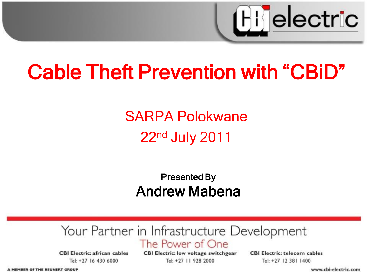

# Cable Theft Prevention with "CBiD"

#### SARPA Polokwane 22nd July 2011

#### Presented By Andrew Mabena

#### Your Partner in Infrastructure Development The Power of One

**CBI Electric: african cables** Tel: +27 16 430 6000

**CBI Electric: low voltage switchgear** Tel: +27 11 928 2000

**CBI Electric: telecom cables** Tel: +27 12 381 1400

A MEMBER OF THE REUNERT GROUP

www.cbi-electric.com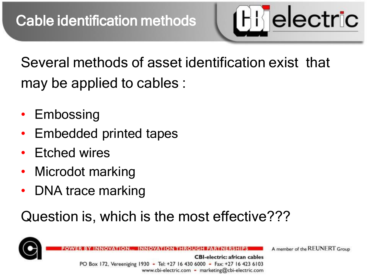**[H]** electric

Several methods of asset identification exist that may be applied to cables :

- Embossing
- Embedded printed tapes
- **Etched wires**
- Microdot marking
- DNA trace marking

#### Question is, which is the most effective???



**CBI-electric: african cables** PO Box 172, Vereeniging 1930 - Tel: +27 16 430 6000 - Fax: +27 16 423 6103 www.cbi-electric.com - marketing@cbi-electric.com

A member of the REUNERT Group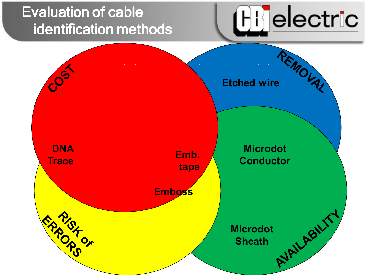#### Evaluation of cable identification methods



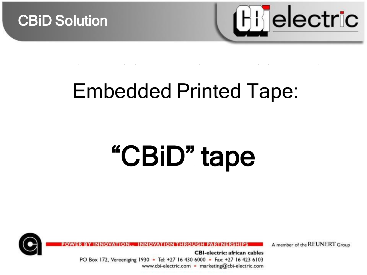



# Embedded Printed Tape:

# "CBiD" tape



A member of the REUNERT Group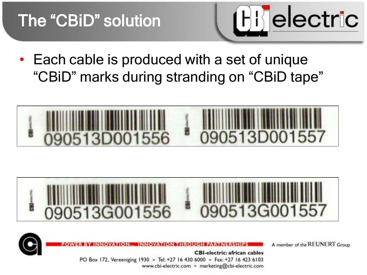

• Each cable is produced with a set of unique "CBiD" marks during stranding on "CBiD tape"







A member of the REUNERT Group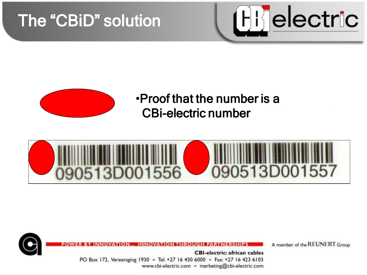



**Trade name** •Proof that the number is a CBi-electric number





A member of the REUNERT Group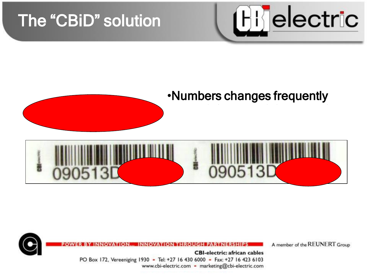



#### •Numbers changes frequently





A member of the REUNERT Group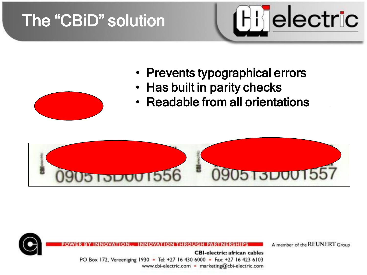

- Prevents typographical errors
- Has built in parity checks
- Readable from all orientations





A member of the REUNERT Group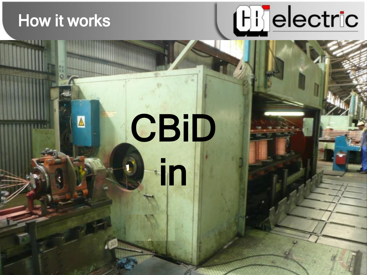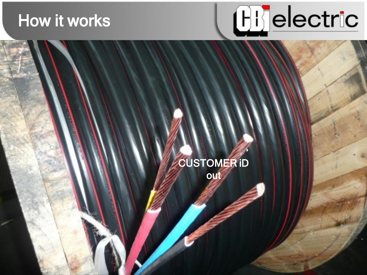#### **How it works**



#### **CUSTOMER ID** out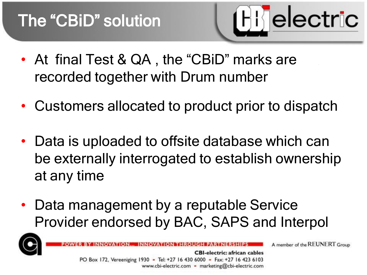

- At final Test & QA, the "CBiD" marks are recorded together with Drum number
- Customers allocated to product prior to dispatch
- Data is uploaded to offsite database which can be externally interrogated to establish ownership at any time
- Data management by a reputable Service Provider endorsed by BAC, SAPS and Interpol



A member of the REUNERT Group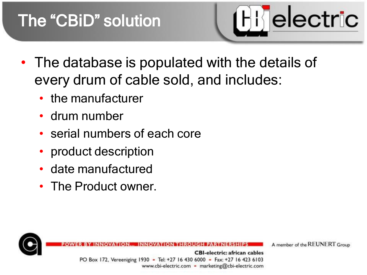

- The database is populated with the details of every drum of cable sold, and includes:
	- the manufacturer
	- drum number
	- serial numbers of each core
	- product description
	- date manufactured
	- The Product owner.



A member of the REUNERT Group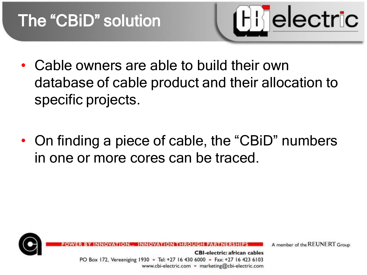

- Cable owners are able to build their own database of cable product and their allocation to specific projects.
- On finding a piece of cable, the "CBiD" numbers in one or more cores can be traced.



A member of the REUNERT Group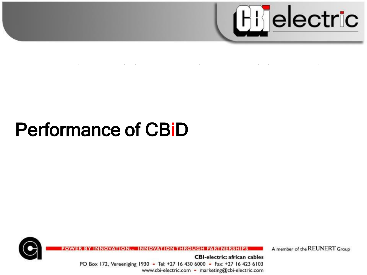

the contract of the contract of the contract of the contract of the contract of and the control of the control  $\mathcal{L}^{\mathcal{L}}(\mathcal{L}^{\mathcal{L}}(\mathcal{L}^{\mathcal{L}}(\mathcal{L}^{\mathcal{L}}(\mathcal{L}^{\mathcal{L}}(\mathcal{L}^{\mathcal{L}}(\mathcal{L}^{\mathcal{L}}(\mathcal{L}^{\mathcal{L}}(\mathcal{L}^{\mathcal{L}}(\mathcal{L}^{\mathcal{L}}(\mathcal{L}^{\mathcal{L}}(\mathcal{L}^{\mathcal{L}}(\mathcal{L}^{\mathcal{L}}(\mathcal{L}^{\mathcal{L}}(\mathcal{L}^{\mathcal{L}}(\mathcal{L}^{\mathcal{L}}(\mathcal{L}^{\mathcal{L$ 

# **Performance of CBiD**



**ON THROU** 

A member of the REUNERT Group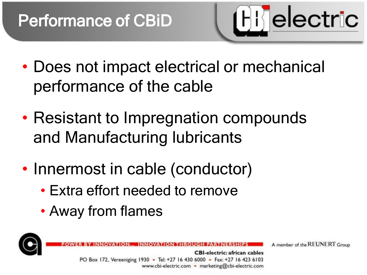

- Does not impact electrical or mechanical performance of the cable
- Resistant to Impregnation compounds and Manufacturing lubricants
- Innermost in cable (conductor)
	- Extra effort needed to remove
	- Away from flames



**CBI-electric: african cables** PO Box 172, Vereeniging 1930 - Tel: +27 16 430 6000 - Fax: +27 16 423 6103 www.cbi-electric.com - marketing@cbi-electric.com

A member of the REUNERT Group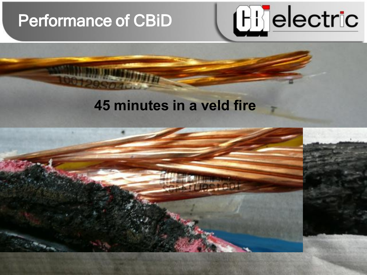#### Performance of CBiD

# Hijelectric

#### **45 minutes in a veld fire**

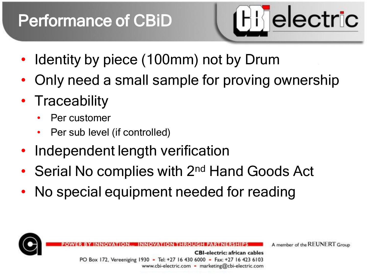## Performance of CBiD



- Identity by piece (100mm) not by Drum
- Only need a small sample for proving ownership
- Traceability
	- Per customer
	- Per sub level (if controlled)
- Independent length verification
- Serial No complies with 2<sup>nd</sup> Hand Goods Act
- No special equipment needed for reading



A member of the REUNERT Group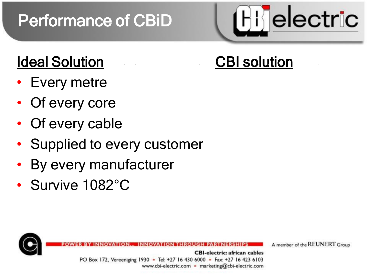# Performance of CBiD



#### Ideal Solution CBI solution

- **Every metre**
- Of every core
- Of every cable
- Supplied to every customer
- By every manufacturer
- Survive  $1082^{\circ}$ C



A member of the REUNERT Group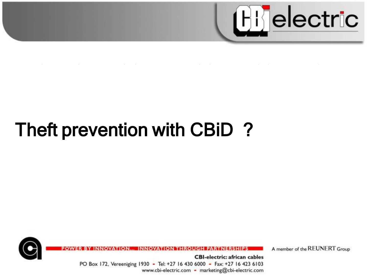

**Contract Contract State** the contract of the contract of the contract of the contract of the contract of **Contract Contract** 

# Theft prevention with CBiD?



**ON THROI** 

A member of the REUNERT Group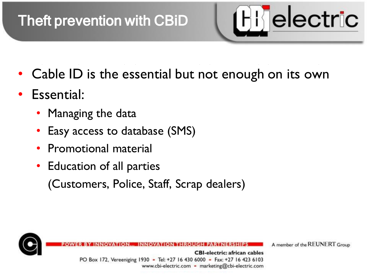#### Theft prevention with CBiD



- Cable ID is the essential but not enough on its own
- Essential:
	- Managing the data
	- Easy access to database (SMS)
	- Promotional material
	- Education of all parties

(Customers, Police, Staff, Scrap dealers)



A member of the REUNERT Group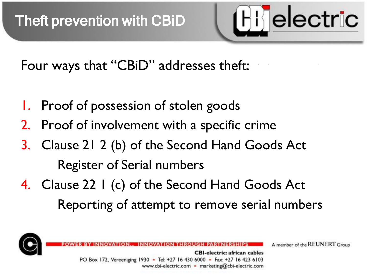

Four ways that "CBiD" addresses theft:

- Proof of possession of stolen goods
- Proof of involvement with a specific crime
- 3. Clause 21 2 (b) of the Second Hand Goods Act Register of Serial numbers
- 4. Clause 22 I (c) of the Second Hand Goods Act Reporting of attempt to remove serial numbers



A member of the REUNERT Group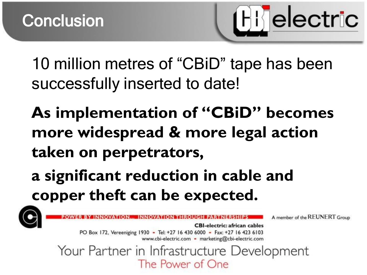

10 million metres of "CBiD" tape has been successfully inserted to date!

**As implementation of "CBiD" becomes more widespread & more legal action taken on perpetrators,**

**a significant reduction in cable and copper theft can be expected.**



A member of the REUNERT Group

**CBI-electric: african cables** PO Box 172, Vereeniging 1930 - Tel: +27 16 430 6000 - Fax: +27 16 423 6103 www.cbi-electric.com - marketing@cbi-electric.com

Your Partner in Infrastructure Development The Power of One